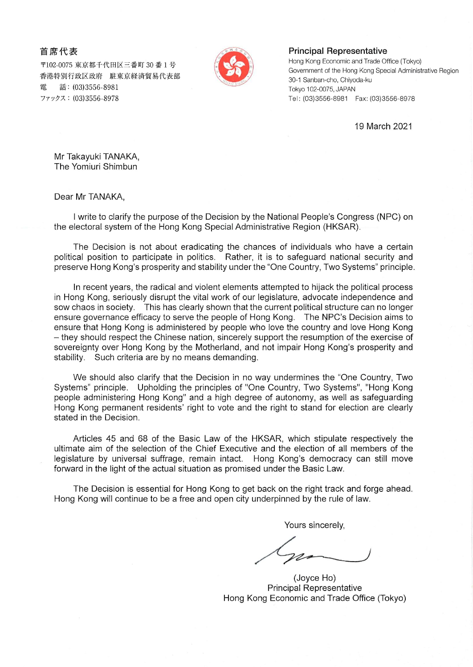首席代表

〒102-0075 東京都千代田区三番町 30 番 1 号 香港特別行政区政府 駐東京経済貿易代表部 雷 話: (03)3556-8981 ファックス: (03)3556-8978



## **Principal Representative**

Hong Kong Economic and Trade Office (Tokyo) Government of the Hong Kong Special Administrative Region 30-1 Sanban-cho, Chiyoda-ku Tokyo 102-0075, JAPAN 

19 March 2021

Mr Takayuki TANAKA, The Yomiuri Shimbun

Dear Mr TANAKA,

I write to clarify the purpose of the Decision by the National People's Congress (NPC) on the electoral system of the Hong Kong Special Administrative Region (HKSAR).

The Decision is not about eradicating the chances of individuals who have a certain political position to participate in politics. Rather, it is to safeguard national security and preserve Hong Kong's prosperity and stability under the "One Country, Two Systems" principle.

In recent years, the radical and violent elements attempted to hijack the political process in Hong Kong, seriously disrupt the vital work of our legislature, advocate independence and sow chaos in society. This has clearly shown that the current political structure can no longer ensure governance efficacy to serve the people of Hong Kong. The NPC's Decision aims to ensure that Hong Kong is administered by people who love the country and love Hong Kong - they should respect the Chinese nation, sincerely support the resumption of the exercise of sovereignty over Hong Kong by the Motherland, and not impair Hong Kong's prosperity and stability. Such criteria are by no means demanding.

We should also clarify that the Decision in no way undermines the "One Country, Two Systems" principle. Upholding the principles of "One Country, Two Systems", "Hong Kong people administering Hong Kong" and a high degree of autonomy, as well as safeguarding Hong Kong permanent residents' right to vote and the right to stand for election are clearly stated in the Decision.

Articles 45 and 68 of the Basic Law of the HKSAR, which stipulate respectively the ultimate aim of the selection of the Chief Executive and the election of all members of the legislature by universal suffrage, remain intact. Hong Kong's democracy can still move forward in the light of the actual situation as promised under the Basic Law.

The Decision is essential for Hong Kong to get back on the right track and forge ahead. Hong Kong will continue to be a free and open city underpinned by the rule of law.

Yours sincerely.

(Joyce Ho) **Principal Representative** Hong Kong Economic and Trade Office (Tokyo)